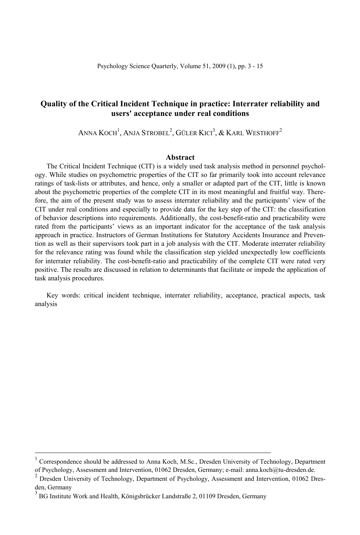# **Quality of the Critical Incident Technique in practice: Interrater reliability and users' acceptance under real conditions**

ANNA  $\text{Koch}^{1},$  Anja Strobel $^{2},$  Güler Kici $^{3},$  & Karl Westhoff $^{2}$ 

## **Abstract**

The Critical Incident Technique (CIT) is a widely used task analysis method in personnel psychology. While studies on psychometric properties of the CIT so far primarily took into account relevance ratings of task-lists or attributes, and hence, only a smaller or adapted part of the CIT, little is known about the psychometric properties of the complete CIT in its most meaningful and fruitful way. Therefore, the aim of the present study was to assess interrater reliability and the participants' view of the CIT under real conditions and especially to provide data for the key step of the CIT: the classification of behavior descriptions into requirements. Additionally, the cost-benefit-ratio and practicability were rated from the participants' views as an important indicator for the acceptance of the task analysis approach in practice. Instructors of German Institutions for Statutory Accidents Insurance and Prevention as well as their supervisors took part in a job analysis with the CIT. Moderate interrater reliability for the relevance rating was found while the classification step yielded unexpectedly low coefficients for interrater reliability. The cost-benefit-ratio and practicability of the complete CIT were rated very positive. The results are discussed in relation to determinants that facilitate or impede the application of task analysis procedures.

Key words: critical incident technique, interrater reliability, acceptance, practical aspects, task analysis

 $\frac{1}{1}$  Correspondence should be addressed to Anna Koch, M.Sc., Dresden University of Technology, Department of Psychology, Assessment and Intervention, 01062 Dresden, Germany; e-mail: anna.koch@tu-dresden.de. 2

Dresden University of Technology, Department of Psychology, Assessment and Intervention, 01062 Dresden, Germany

<sup>3</sup> BG Institute Work and Health, Königsbrücker Landstraße 2, 01109 Dresden, Germany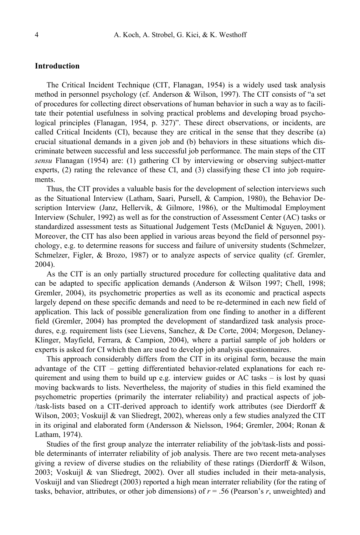## **Introduction**

The Critical Incident Technique (CIT, Flanagan, 1954) is a widely used task analysis method in personnel psychology (cf. Anderson & Wilson, 1997). The CIT consists of "a set of procedures for collecting direct observations of human behavior in such a way as to facilitate their potential usefulness in solving practical problems and developing broad psychological principles (Flanagan, 1954, p. 327)". These direct observations, or incidents, are called Critical Incidents (CI), because they are critical in the sense that they describe (a) crucial situational demands in a given job and (b) behaviors in these situations which discriminate between successful and less successful job performance. The main steps of the CIT *sensu* Flanagan (1954) are: (1) gathering CI by interviewing or observing subject-matter experts, (2) rating the relevance of these CI, and (3) classifying these CI into job requirements.

Thus, the CIT provides a valuable basis for the development of selection interviews such as the Situational Interview (Latham, Saari, Pursell, & Campion, 1980), the Behavior Description Interview (Janz, Hellervik, & Gilmore, 1986), or the Multimodal Employment Interview (Schuler, 1992) as well as for the construction of Assessment Center (AC) tasks or standardized assessment tests as Situational Judgement Tests (McDaniel & Nguyen, 2001). Moreover, the CIT has also been applied in various areas beyond the field of personnel psychology, e.g. to determine reasons for success and failure of university students (Schmelzer, Schmelzer, Figler, & Brozo, 1987) or to analyze aspects of service quality (cf. Gremler, 2004).

As the CIT is an only partially structured procedure for collecting qualitative data and can be adapted to specific application demands (Anderson & Wilson 1997; Chell, 1998; Gremler, 2004), its psychometric properties as well as its economic and practical aspects largely depend on these specific demands and need to be re-determined in each new field of application. This lack of possible generalization from one finding to another in a different field (Gremler, 2004) has prompted the development of standardized task analysis procedures, e.g. requirement lists (see Lievens, Sanchez, & De Corte, 2004; Morgeson, Delaney-Klinger, Mayfield, Ferrara, & Campion, 2004), where a partial sample of job holders or experts is asked for CI which then are used to develop job analysis questionnaires.

This approach considerably differs from the CIT in its original form, because the main advantage of the CIT – getting differentiated behavior-related explanations for each requirement and using them to build up e.g. interview guides or AC tasks – is lost by quasi moving backwards to lists. Nevertheless, the majority of studies in this field examined the psychometric properties (primarily the interrater reliability) and practical aspects of job- /task-lists based on a CIT-derived approach to identify work attributes (see Dierdorff & Wilson, 2003; Voskuijl & van Sliedregt, 2002), whereas only a few studies analyzed the CIT in its original and elaborated form (Andersson & Nielsson, 1964; Gremler, 2004; Ronan & Latham, 1974).

Studies of the first group analyze the interrater reliability of the job/task-lists and possible determinants of interrater reliability of job analysis. There are two recent meta-analyses giving a review of diverse studies on the reliability of these ratings (Dierdorff & Wilson, 2003; Voskuijl & van Sliedregt, 2002). Over all studies included in their meta-analysis, Voskuijl and van Sliedregt (2003) reported a high mean interrater reliability (for the rating of tasks, behavior, attributes, or other job dimensions) of  $r = .56$  (Pearson's  $r$ , unweighted) and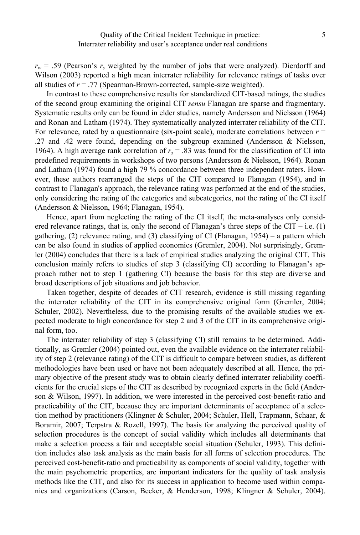$r_w$  = .59 (Pearson's  $r$ , weighted by the number of jobs that were analyzed). Dierdorff and Wilson (2003) reported a high mean interrater reliability for relevance ratings of tasks over all studies of  $r = .77$  (Spearman-Brown-corrected, sample-size weighted).

In contrast to these comprehensive results for standardized CIT-based ratings, the studies of the second group examining the original CIT *sensu* Flanagan are sparse and fragmentary. Systematic results only can be found in elder studies, namely Andersson and Nielsson (1964) and Ronan and Latham (1974). They systematically analyzed interrater reliability of the CIT. For relevance, rated by a questionnaire (six-point scale), moderate correlations between  $r =$ .27 and .42 were found, depending on the subgroup examined (Andersson & Nielsson, 1964). A high average rank correlation of *rs* = .83 was found for the classification of CI into predefined requirements in workshops of two persons (Andersson & Nielsson, 1964). Ronan and Latham (1974) found a high 79 % concordance between three independent raters. However, these authors rearranged the steps of the CIT compared to Flanagan (1954), and in contrast to Flanagan's approach, the relevance rating was performed at the end of the studies, only considering the rating of the categories and subcategories, not the rating of the CI itself (Andersson & Nielsson, 1964; Flanagan, 1954).

Hence, apart from neglecting the rating of the CI itself, the meta-analyses only considered relevance ratings, that is, only the second of Flanagan's three steps of the CIT – i.e.  $(1)$ gathering, (2) relevance rating, and (3) classifying of CI (Flanagan,  $1954$ ) – a pattern which can be also found in studies of applied economics (Gremler, 2004). Not surprisingly, Gremler (2004) concludes that there is a lack of empirical studies analyzing the original CIT. This conclusion mainly refers to studies of step 3 (classifying CI) according to Flanagan's approach rather not to step 1 (gathering CI) because the basis for this step are diverse and broad descriptions of job situations and job behavior.

Taken together, despite of decades of CIT research, evidence is still missing regarding the interrater reliability of the CIT in its comprehensive original form (Gremler, 2004; Schuler, 2002). Nevertheless, due to the promising results of the available studies we expected moderate to high concordance for step 2 and 3 of the CIT in its comprehensive original form, too.

The interrater reliability of step 3 (classifying CI) still remains to be determined. Additionally, as Gremler (2004) pointed out, even the available evidence on the interrater reliability of step 2 (relevance rating) of the CIT is difficult to compare between studies, as different methodologies have been used or have not been adequately described at all. Hence, the primary objective of the present study was to obtain clearly defined interrater reliability coefficients for the crucial steps of the CIT as described by recognized experts in the field (Anderson & Wilson, 1997). In addition, we were interested in the perceived cost-benefit-ratio and practicability of the CIT, because they are important determinants of acceptance of a selection method by practitioners (Klingner & Schuler, 2004; Schuler, Hell, Trapmann, Schaar, & Boramir, 2007; Terpstra & Rozell, 1997). The basis for analyzing the perceived quality of selection procedures is the concept of social validity which includes all determinants that make a selection process a fair and acceptable social situation (Schuler, 1993). This definition includes also task analysis as the main basis for all forms of selection procedures. The perceived cost-benefit-ratio and practicability as components of social validity, together with the main psychometric properties, are important indicators for the quality of task analysis methods like the CIT, and also for its success in application to become used within companies and organizations (Carson, Becker, & Henderson, 1998; Klingner & Schuler, 2004).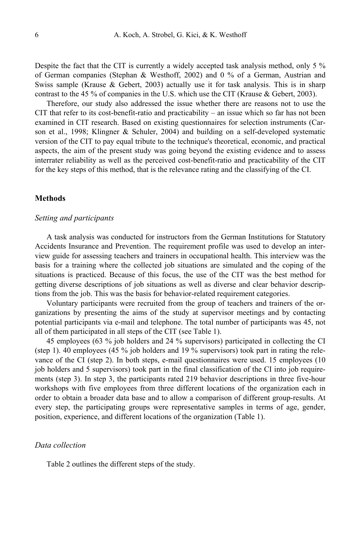Despite the fact that the CIT is currently a widely accepted task analysis method, only 5 % of German companies (Stephan & Westhoff, 2002) and 0 % of a German, Austrian and Swiss sample (Krause  $\&$  Gebert, 2003) actually use it for task analysis. This is in sharp contrast to the 45 % of companies in the U.S. which use the CIT (Krause & Gebert, 2003).

Therefore, our study also addressed the issue whether there are reasons not to use the CIT that refer to its cost-benefit-ratio and practicability – an issue which so far has not been examined in CIT research. Based on existing questionnaires for selection instruments (Carson et al., 1998; Klingner & Schuler, 2004) and building on a self-developed systematic version of the CIT to pay equal tribute to the technique's theoretical, economic, and practical aspects, the aim of the present study was going beyond the existing evidence and to assess interrater reliability as well as the perceived cost-benefit-ratio and practicability of the CIT for the key steps of this method, that is the relevance rating and the classifying of the CI.

## **Methods**

#### *Setting and participants*

A task analysis was conducted for instructors from the German Institutions for Statutory Accidents Insurance and Prevention. The requirement profile was used to develop an interview guide for assessing teachers and trainers in occupational health. This interview was the basis for a training where the collected job situations are simulated and the coping of the situations is practiced. Because of this focus, the use of the CIT was the best method for getting diverse descriptions of job situations as well as diverse and clear behavior descriptions from the job. This was the basis for behavior-related requirement categories.

Voluntary participants were recruited from the group of teachers and trainers of the organizations by presenting the aims of the study at supervisor meetings and by contacting potential participants via e-mail and telephone. The total number of participants was 45, not all of them participated in all steps of the CIT (see Table 1).

45 employees (63 % job holders and 24 % supervisors) participated in collecting the CI (step 1). 40 employees (45 % job holders and 19 % supervisors) took part in rating the relevance of the CI (step 2). In both steps, e-mail questionnaires were used. 15 employees (10 job holders and 5 supervisors) took part in the final classification of the CI into job requirements (step 3). In step 3, the participants rated 219 behavior descriptions in three five-hour workshops with five employees from three different locations of the organization each in order to obtain a broader data base and to allow a comparison of different group-results. At every step, the participating groups were representative samples in terms of age, gender, position, experience, and different locations of the organization (Table 1).

#### *Data collection*

Table 2 outlines the different steps of the study.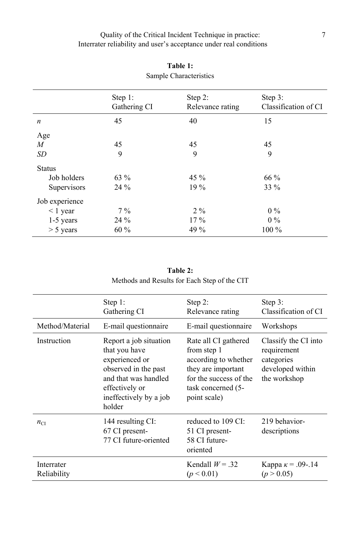# Quality of the Critical Incident Technique in practice: Interrater reliability and user's acceptance under real conditions

| Sample Unaracteristics |                         |                             |                                 |  |  |
|------------------------|-------------------------|-----------------------------|---------------------------------|--|--|
|                        | Step 1:<br>Gathering CI | Step 2:<br>Relevance rating | Step 3:<br>Classification of CI |  |  |
| $\boldsymbol{n}$       | 45                      | 40                          | 15                              |  |  |
| Age                    |                         |                             |                                 |  |  |
| $\boldsymbol{M}$       | 45                      | 45                          | 45                              |  |  |
| SD                     | 9                       | 9                           | 9                               |  |  |
| <b>Status</b>          |                         |                             |                                 |  |  |
| Job holders            | 63 %                    | 45 %                        | 66 %                            |  |  |
| Supervisors            | 24 %                    | $19\%$                      | 33 %                            |  |  |
| Job experience         |                         |                             |                                 |  |  |
| $\leq 1$ year          | $7\%$                   | $2\%$                       | $0\%$                           |  |  |
| 1-5 years              | $24\%$                  | $17\%$                      | $0\%$                           |  |  |
| $> 5$ years            | $60\%$                  | 49 %                        | 100 %                           |  |  |

# **Table 1:**  Sample Characteristics

# **Table 2:**  Methods and Results for Each Step of the CIT

|                           | Step 1:<br>Gathering CI                                                                                                                                         | Step $2$ :<br>Relevance rating                                                                                                                    | Step $3$ :<br>Classification of CI                                                    |
|---------------------------|-----------------------------------------------------------------------------------------------------------------------------------------------------------------|---------------------------------------------------------------------------------------------------------------------------------------------------|---------------------------------------------------------------------------------------|
| Method/Material           | E-mail questionnaire                                                                                                                                            | E-mail questionnaire                                                                                                                              | Workshops                                                                             |
| Instruction               | Report a job situation<br>that you have<br>experienced or<br>observed in the past<br>and that was handled<br>effectively or<br>ineffectively by a job<br>holder | Rate all CI gathered<br>from step 1<br>according to whether<br>they are important<br>for the success of the<br>task concerned (5-<br>point scale) | Classify the CI into<br>requirement<br>categories<br>developed within<br>the workshop |
| $n_{\text{CI}}$           | 144 resulting CI:<br>67 CI present-<br>77 CI future-oriented                                                                                                    | reduced to 109 CI:<br>51 CI present-<br>58 CI future-<br>oriented                                                                                 | 219 behavior-<br>descriptions                                                         |
| Interrater<br>Reliability |                                                                                                                                                                 | Kendall $W = .32$<br>(p < 0.01)                                                                                                                   | Kappa $\kappa$ = .09-.14<br>(p > 0.05)                                                |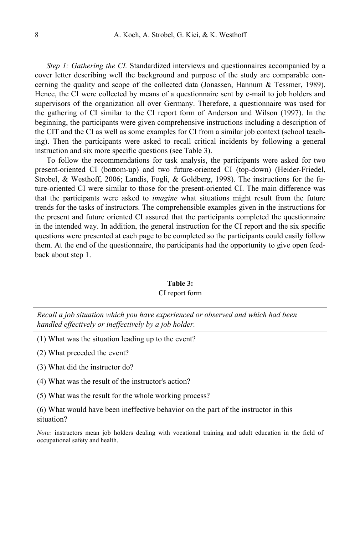*Step 1: Gathering the CI.* Standardized interviews and questionnaires accompanied by a cover letter describing well the background and purpose of the study are comparable concerning the quality and scope of the collected data (Jonassen, Hannum  $\&$  Tessmer, 1989). Hence, the CI were collected by means of a questionnaire sent by e-mail to job holders and supervisors of the organization all over Germany. Therefore, a questionnaire was used for the gathering of CI similar to the CI report form of Anderson and Wilson (1997). In the beginning, the participants were given comprehensive instructions including a description of the CIT and the CI as well as some examples for CI from a similar job context (school teaching). Then the participants were asked to recall critical incidents by following a general instruction and six more specific questions (see Table 3).

To follow the recommendations for task analysis, the participants were asked for two present-oriented CI (bottom-up) and two future-oriented CI (top-down) (Heider-Friedel, Strobel, & Westhoff, 2006; Landis, Fogli, & Goldberg, 1998). The instructions for the future-oriented CI were similar to those for the present-oriented CI. The main difference was that the participants were asked to *imagine* what situations might result from the future trends for the tasks of instructors. The comprehensible examples given in the instructions for the present and future oriented CI assured that the participants completed the questionnaire in the intended way. In addition, the general instruction for the CI report and the six specific questions were presented at each page to be completed so the participants could easily follow them. At the end of the questionnaire, the participants had the opportunity to give open feedback about step 1.

#### **Table 3:**

#### CI report form

*Recall a job situation which you have experienced or observed and which had been handled effectively or ineffectively by a job holder.* 

- (1) What was the situation leading up to the event?
- (2) What preceded the event?
- (3) What did the instructor do?
- (4) What was the result of the instructor's action?
- (5) What was the result for the whole working process?

(6) What would have been ineffective behavior on the part of the instructor in this situation?

*Note:* instructors mean job holders dealing with vocational training and adult education in the field of occupational safety and health.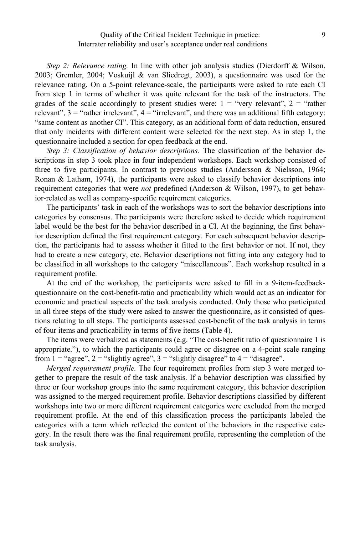## Quality of the Critical Incident Technique in practice: Interrater reliability and user's acceptance under real conditions

*Step 2: Relevance rating.* In line with other job analysis studies (Dierdorff & Wilson, 2003; Gremler, 2004; Voskuijl & van Sliedregt, 2003), a questionnaire was used for the relevance rating. On a 5-point relevance-scale, the participants were asked to rate each CI from step 1 in terms of whether it was quite relevant for the task of the instructors. The grades of the scale accordingly to present studies were:  $1 =$  "very relevant",  $2 =$  "rather relevant",  $3 =$  "rather irrelevant",  $4 =$  "irrelevant", and there was an additional fifth category: "same content as another CI". This category, as an additional form of data reduction, ensured that only incidents with different content were selected for the next step. As in step 1, the questionnaire included a section for open feedback at the end.

*Step 3: Classification of behavior descriptions.* The classification of the behavior descriptions in step 3 took place in four independent workshops. Each workshop consisted of three to five participants. In contrast to previous studies (Andersson & Nielsson, 1964; Ronan & Latham, 1974), the participants were asked to classify behavior descriptions into requirement categories that were *not* predefined (Anderson & Wilson, 1997), to get behavior-related as well as company-specific requirement categories.

The participants' task in each of the workshops was to sort the behavior descriptions into categories by consensus. The participants were therefore asked to decide which requirement label would be the best for the behavior described in a CI. At the beginning, the first behavior description defined the first requirement category. For each subsequent behavior description, the participants had to assess whether it fitted to the first behavior or not. If not, they had to create a new category, etc. Behavior descriptions not fitting into any category had to be classified in all workshops to the category "miscellaneous". Each workshop resulted in a requirement profile.

At the end of the workshop, the participants were asked to fill in a 9-item-feedbackquestionnaire on the cost-benefit-ratio and practicability which would act as an indicator for economic and practical aspects of the task analysis conducted. Only those who participated in all three steps of the study were asked to answer the questionnaire, as it consisted of questions relating to all steps. The participants assessed cost-benefit of the task analysis in terms of four items and practicability in terms of five items (Table 4).

The items were verbalized as statements (e.g. "The cost-benefit ratio of questionnaire 1 is appropriate."), to which the participants could agree or disagree on a 4-point scale ranging from  $1 =$  "agree",  $2 =$  "slightly agree",  $3 =$  "slightly disagree" to  $4 =$  "disagree".

*Merged requirement profile.* The four requirement profiles from step 3 were merged together to prepare the result of the task analysis. If a behavior description was classified by three or four workshop groups into the same requirement category, this behavior description was assigned to the merged requirement profile. Behavior descriptions classified by different workshops into two or more different requirement categories were excluded from the merged requirement profile. At the end of this classification process the participants labeled the categories with a term which reflected the content of the behaviors in the respective category. In the result there was the final requirement profile, representing the completion of the task analysis.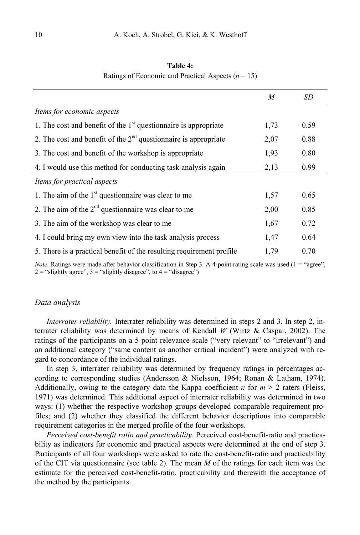|                                                                      | M    | SD   |
|----------------------------------------------------------------------|------|------|
| Items for economic aspects                                           |      |      |
| 1. The cost and benefit of the $1st$ questionnaire is appropriate    | 1,73 | 0.59 |
| 2. The cost and benefit of the $2nd$ questionnaire is appropriate    | 2,07 | 0.88 |
| 3. The cost and benefit of the workshop is appropriate               | 1,93 | 0.80 |
| 4. I would use this method for conducting task analysis again        | 2,13 | 0.99 |
| Items for practical aspects                                          |      |      |
| 1. The aim of the $1st$ questionnaire was clear to me                | 1,57 | 0.65 |
| 2. The aim of the $2nd$ questionnaire was clear to me                | 2,00 | 0.85 |
| 3. The aim of the workshop was clear to me                           | 1,67 | 0.72 |
| 4. I could bring my own view into the task analysis process          | 1,47 | 0.64 |
| 5. There is a practical benefit of the resulting requirement profile | 1.79 | 0.70 |

**Table 4:**  Ratings of Economic and Practical Aspects  $(n = 15)$ 

*Note.* Ratings were made after behavior classification in Step 3. A 4-point rating scale was used (1 = "agree",  $2 =$  "slightly agree",  $3 =$  "slightly disagree", to  $4 =$  "disagree")

#### *Data analysis*

*Interrater reliability.* Interrater reliability was determined in steps 2 and 3. In step 2, interrater reliability was determined by means of Kendall *W* (Wirtz & Caspar, 2002). The ratings of the participants on a 5-point relevance scale ("very relevant" to "irrelevant") and an additional category ("same content as another critical incident") were analyzed with regard to concordance of the individual ratings.

In step 3, interrater reliability was determined by frequency ratings in percentages according to corresponding studies (Andersson & Nielsson, 1964; Ronan & Latham, 1974). Additionally, owing to the category data the Kappa coefficient  $\kappa$  for  $m > 2$  raters (Fleiss, 1971) was determined. This additional aspect of interrater reliability was determined in two ways: (1) whether the respective workshop groups developed comparable requirement profiles; and (2) whether they classified the different behavior descriptions into comparable requirement categories in the merged profile of the four workshops.

*Perceived cost-benefit ratio and practicability.* Perceived cost-benefit-ratio and practicability as indicators for economic and practical aspects were determined at the end of step 3. Participants of all four workshops were asked to rate the cost-benefit-ratio and practicability of the CIT via questionnaire (see table 2). The mean *M* of the ratings for each item was the estimate for the perceived cost-benefit-ratio, practicability and therewith the acceptance of the method by the participants.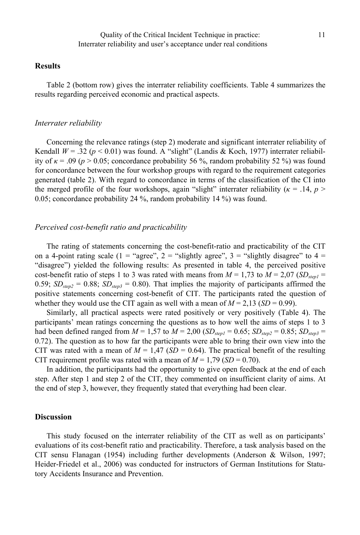## **Results**

Table 2 (bottom row) gives the interrater reliability coefficients. Table 4 summarizes the results regarding perceived economic and practical aspects.

#### *Interrater reliability*

Concerning the relevance ratings (step 2) moderate and significant interrater reliability of Kendall  $W = .32$  ( $p < 0.01$ ) was found. A "slight" (Landis & Koch, 1977) interrater reliability of  $\kappa$  = .09 ( $p > 0.05$ ; concordance probability 56 %, random probability 52 %) was found for concordance between the four workshop groups with regard to the requirement categories generated (table 2). With regard to concordance in terms of the classification of the CI into the merged profile of the four workshops, again "slight" interrater reliability ( $\kappa = 0.14$ ,  $p > 0$ 0.05; concordance probability 24 %, random probability 14 %) was found.

## *Perceived cost-benefit ratio and practicability*

The rating of statements concerning the cost-benefit-ratio and practicability of the CIT on a 4-point rating scale (1 = "agree", 2 = "slightly agree", 3 = "slightly disagree" to  $4 =$ "disagree") yielded the following results: As presented in table 4, the perceived positive cost-benefit ratio of steps 1 to 3 was rated with means from  $M = 1.73$  to  $M = 2.07$  (*SD<sub>step1</sub>* = 0.59;  $SD_{step2} = 0.88$ ;  $SD_{step3} = 0.80$ ). That implies the majority of participants affirmed the positive statements concerning cost-benefit of CIT. The participants rated the question of whether they would use the CIT again as well with a mean of  $M = 2.13$  (*SD* = 0.99).

Similarly, all practical aspects were rated positively or very positively (Table 4). The participants' mean ratings concerning the questions as to how well the aims of steps 1 to 3 had been defined ranged from  $M = 1,57$  to  $M = 2,00$  ( $SD_{\text{sten1}} = 0.65$ ;  $SD_{\text{sten2}} = 0.85$ ;  $SD_{\text{sten3}} =$ 0.72). The question as to how far the participants were able to bring their own view into the CIT was rated with a mean of  $M = 1.47$  (*SD* = 0.64). The practical benefit of the resulting CIT requirement profile was rated with a mean of  $M = 1.79$  (*SD* = 0.70).

In addition, the participants had the opportunity to give open feedback at the end of each step. After step 1 and step 2 of the CIT, they commented on insufficient clarity of aims. At the end of step 3, however, they frequently stated that everything had been clear.

#### **Discussion**

This study focused on the interrater reliability of the CIT as well as on participants' evaluations of its cost-benefit ratio and practicability. Therefore, a task analysis based on the CIT sensu Flanagan (1954) including further developments (Anderson & Wilson, 1997; Heider-Friedel et al., 2006) was conducted for instructors of German Institutions for Statutory Accidents Insurance and Prevention.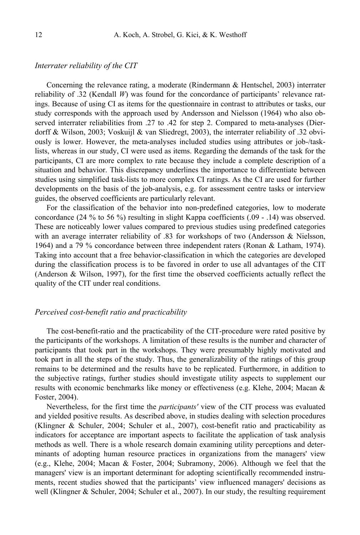## *Interrater reliability of the CIT*

Concerning the relevance rating, a moderate (Rindermann & Hentschel, 2003) interrater reliability of .32 (Kendall *W*) was found for the concordance of participants' relevance ratings. Because of using CI as items for the questionnaire in contrast to attributes or tasks, our study corresponds with the approach used by Andersson and Nielsson (1964) who also observed interrater reliabilities from .27 to .42 for step 2. Compared to meta-analyses (Dierdorff & Wilson, 2003; Voskuijl & van Sliedregt, 2003), the interrater reliability of .32 obviously is lower. However, the meta-analyses included studies using attributes or job-/tasklists, whereas in our study, CI were used as items. Regarding the demands of the task for the participants, CI are more complex to rate because they include a complete description of a situation and behavior. This discrepancy underlines the importance to differentiate between studies using simplified task-lists to more complex CI ratings. As the CI are used for further developments on the basis of the job-analysis, e.g. for assessment centre tasks or interview guides, the observed coefficients are particularly relevant.

For the classification of the behavior into non-predefined categories, low to moderate concordance (24 % to 56 %) resulting in slight Kappa coefficients (.09 - .14) was observed. These are noticeably lower values compared to previous studies using predefined categories with an average interrater reliability of .83 for workshops of two (Andersson & Nielsson, 1964) and a 79 % concordance between three independent raters (Ronan & Latham, 1974). Taking into account that a free behavior-classification in which the categories are developed during the classification process is to be favored in order to use all advantages of the CIT (Anderson & Wilson, 1997), for the first time the observed coefficients actually reflect the quality of the CIT under real conditions.

#### *Perceived cost-benefit ratio and practicability*

The cost-benefit-ratio and the practicability of the CIT-procedure were rated positive by the participants of the workshops. A limitation of these results is the number and character of participants that took part in the workshops. They were presumably highly motivated and took part in all the steps of the study. Thus, the generalizability of the ratings of this group remains to be determined and the results have to be replicated. Furthermore, in addition to the subjective ratings, further studies should investigate utility aspects to supplement our results with economic benchmarks like money or effectiveness (e.g. Klehe, 2004; Macan & Foster, 2004).

Nevertheless, for the first time the *participants'* view of the CIT process was evaluated and yielded positive results. As described above, in studies dealing with selection procedures (Klingner & Schuler, 2004; Schuler et al., 2007), cost-benefit ratio and practicability as indicators for acceptance are important aspects to facilitate the application of task analysis methods as well. There is a whole research domain examining utility perceptions and determinants of adopting human resource practices in organizations from the managers' view (e.g., Klehe, 2004; Macan & Foster, 2004; Subramony, 2006). Although we feel that the managers' view is an important determinant for adopting scientifically recommended instruments, recent studies showed that the participants' view influenced managers' decisions as well (Klingner & Schuler, 2004; Schuler et al., 2007). In our study, the resulting requirement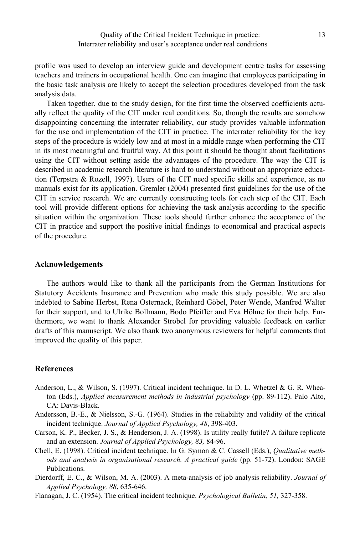profile was used to develop an interview guide and development centre tasks for assessing teachers and trainers in occupational health. One can imagine that employees participating in the basic task analysis are likely to accept the selection procedures developed from the task analysis data.

Taken together, due to the study design, for the first time the observed coefficients actually reflect the quality of the CIT under real conditions. So, though the results are somehow disappointing concerning the interrater reliability, our study provides valuable information for the use and implementation of the CIT in practice. The interrater reliability for the key steps of the procedure is widely low and at most in a middle range when performing the CIT in its most meaningful and fruitful way. At this point it should be thought about facilitations using the CIT without setting aside the advantages of the procedure. The way the CIT is described in academic research literature is hard to understand without an appropriate education (Terpstra & Rozell, 1997). Users of the CIT need specific skills and experience, as no manuals exist for its application. Gremler (2004) presented first guidelines for the use of the CIT in service research. We are currently constructing tools for each step of the CIT. Each tool will provide different options for achieving the task analysis according to the specific situation within the organization. These tools should further enhance the acceptance of the CIT in practice and support the positive initial findings to economical and practical aspects of the procedure.

#### **Acknowledgements**

The authors would like to thank all the participants from the German Institutions for Statutory Accidents Insurance and Prevention who made this study possible. We are also indebted to Sabine Herbst, Rena Osternack, Reinhard Göbel, Peter Wende, Manfred Walter for their support, and to Ulrike Bollmann, Bodo Pfeiffer and Eva Höhne for their help. Furthermore, we want to thank Alexander Strobel for providing valuable feedback on earlier drafts of this manuscript. We also thank two anonymous reviewers for helpful comments that improved the quality of this paper.

#### **References**

- Anderson, L., & Wilson, S. (1997). Critical incident technique. In D. L. Whetzel & G. R. Wheaton (Eds.), *Applied measurement methods in industrial psychology* (pp. 89-112). Palo Alto, CA: Davis-Black.
- Andersson, B.-E., & Nielsson, S.-G. (1964). Studies in the reliability and validity of the critical incident technique. *Journal of Applied Psychology, 48*, 398-403.
- Carson, K. P., Becker, J. S., & Henderson, J. A. (1998). Is utility really futile? A failure replicate and an extension. *Journal of Applied Psychology, 83,* 84-96.
- Chell, E. (1998). Critical incident technique. In G. Symon & C. Cassell (Eds.), *Qualitative methods and analysis in organisational research. A practical guide* (pp. 51-72). London: SAGE Publications.
- Dierdorff, E. C., & Wilson, M. A. (2003). A meta-analysis of job analysis reliability. *Journal of Applied Psychology, 88*, 635-646.
- Flanagan, J. C. (1954). The critical incident technique. *Psychological Bulletin, 51,* 327-358.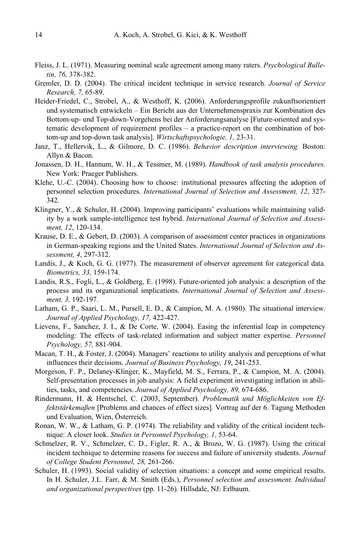- Fleiss, J. L. (1971). Measuring nominal scale agreement among many raters. *Psychological Bulletin, 76,* 378-382.
- Gremler, D. D. (2004). The critical incident technique in service research. *Journal of Service Research, 7,* 65-89.
- Heider-Friedel, C., Strobel, A., & Westhoff, K. (2006). Anforderungsprofile zukunftsorientiert und systematisch entwickeln – Ein Bericht aus der Unternehmenspraxis zur Kombination des Bottom-up- und Top-down-Vorgehens bei der Anforderungsanalyse [Future-oriented and systematic development of requirement profiles – a practice-report on the combination of bottom-up and top-down task analysis]. *Wirtschaftspsychologie, 1,* 23-31.
- Janz, T., Hellervik, L., & Gilmore, D. C. (1986). *Behavior description interviewing.* Boston: Allyn & Bacon.
- Jonassen, D. H., Hannum, W. H., & Tessmer, M. (1989). *Handbook of task analysis procedures.* New York: Praeger Publishers.
- Klehe, U.-C. (2004). Choosing how to choose: institutional pressures affecting the adoption of personnel selection procedures. *International Journal of Selection and Assessment, 12*, 327- 342.
- Klingner, Y., & Schuler, H. (2004). Improving participants' evaluations while maintaining validity by a work sample-intelligence test hybrid. *International Journal of Selection and Assessment, 12*, 120-134.
- Krause, D. E., & Gebert, D. (2003). A comparison of assessment center practices in organizations in German-speaking regions and the United States. *International Journal of Selection and Assessment, 4*, 297-312.
- Landis, J., & Koch, G. G. (1977). The measurement of observer agreement for categorical data. *Biometrics, 33,* 159-174.
- Landis, R.S., Fogli, L., & Goldberg, E. (1998). Future-oriented job analysis: a description of the process and its organizational implications. *International Journal of Selection and Assessment, 3,* 192-197.
- Latham, G. P., Saari, L. M., Pursell, E. D., & Campion, M. A. (1980). The situational interview. *Journal of Applied Psychology, 17,* 422-427.
- Lievens, F., Sanchez, J. I., & De Corte, W. (2004). Easing the inferential leap in competency modeling: The effects of task-related information and subject matter expertise. *Personnel Psychology, 57,* 881-904.
- Macan, T. H., & Foster, J. (2004). Managers' reactions to utility analysis and perceptions of what influences their decisions. *Journal of Business Psychology, 19*, 241-253.
- Morgeson, F. P., Delaney-Klinger, K., Mayfield, M. S., Ferrara, P., & Campion, M. A. (2004). Self-presentation processes in job analysis: A field experiment investigating inflation in abilities, tasks, and competencies. *Journal of Applied Psychology, 89,* 674-686.
- Rindermann, H. & Hentschel, C. (2003, September). *Problematik und Möglichkeiten von Effektstärkemaßen* [Problems and chances of effect sizes]*.* Vortrag auf der 6. Tagung Methoden und Evaluation, Wien, Österreich.
- Ronan, W. W., & Latham, G. P. (1974). The reliability and validity of the critical incident technique: A closer look. *Studies in Personnel Psychology, 1,* 53-64.
- Schmelzer, R. V., Schmelzer, C. D., Figler, R. A., & Brozo, W. G. (1987). Using the critical incident technique to determine reasons for success and failure of university students. *Journal of College Student Personnel, 28,* 261-266.
- Schuler, H. (1993). Social validity of selection situations: a concept and some empirical results. In H. Schuler, J.L. Farr, & M. Smith (Eds.), *Personnel selection and assessment. Individual and organizational perspectives* (pp. 11-26). Hillsdale, NJ: Erlbaum.